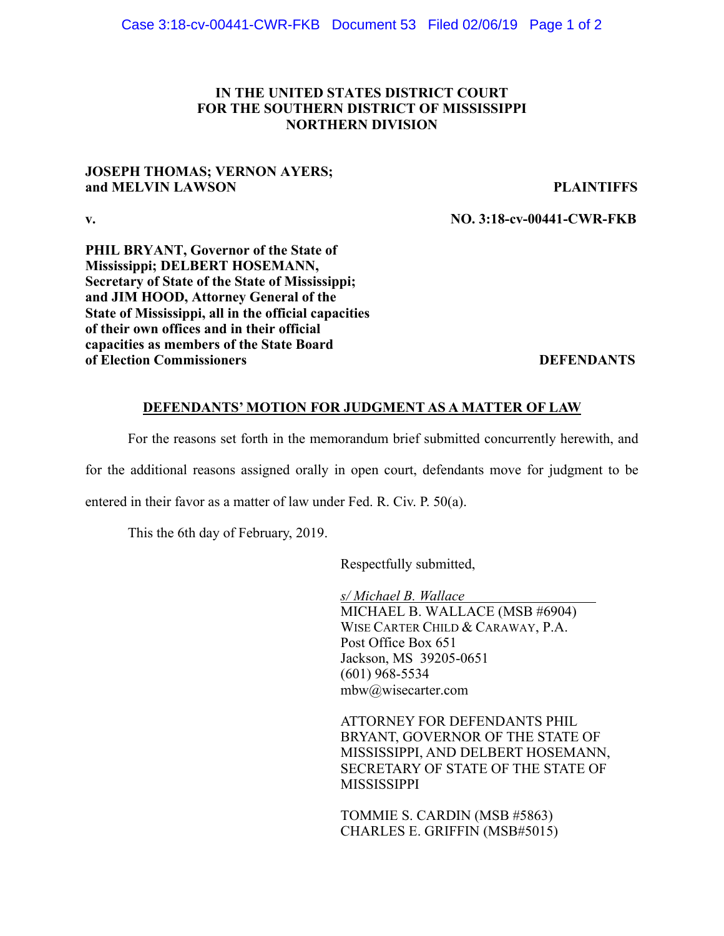# **IN THE UNITED STATES DISTRICT COURT FOR THE SOUTHERN DISTRICT OF MISSISSIPPI NORTHERN DIVISION**

# **JOSEPH THOMAS; VERNON AYERS; and MELVIN LAWSON PLAINTIFFS**

**v. NO. 3:18-cv-00441-CWR-FKB**

**PHIL BRYANT, Governor of the State of Mississippi; DELBERT HOSEMANN, Secretary of State of the State of Mississippi; and JIM HOOD, Attorney General of the State of Mississippi, all in the official capacities of their own offices and in their official capacities as members of the State Board of Election Commissioners** DEFENDANTS

## **DEFENDANTS' MOTION FOR JUDGMENT AS A MATTER OF LAW**

For the reasons set forth in the memorandum brief submitted concurrently herewith, and

for the additional reasons assigned orally in open court, defendants move for judgment to be

entered in their favor as a matter of law under Fed. R. Civ. P. 50(a).

This the 6th day of February, 2019.

Respectfully submitted,

*s/ Michael B. Wallace* MICHAEL B. WALLACE (MSB #6904) WISE CARTER CHILD & CARAWAY, P.A. Post Office Box 651 Jackson, MS 39205-0651 (601) 968-5534 mbw@wisecarter.com

ATTORNEY FOR DEFENDANTS PHIL BRYANT, GOVERNOR OF THE STATE OF MISSISSIPPI, AND DELBERT HOSEMANN, SECRETARY OF STATE OF THE STATE OF MISSISSIPPI

TOMMIE S. CARDIN (MSB #5863) CHARLES E. GRIFFIN (MSB#5015)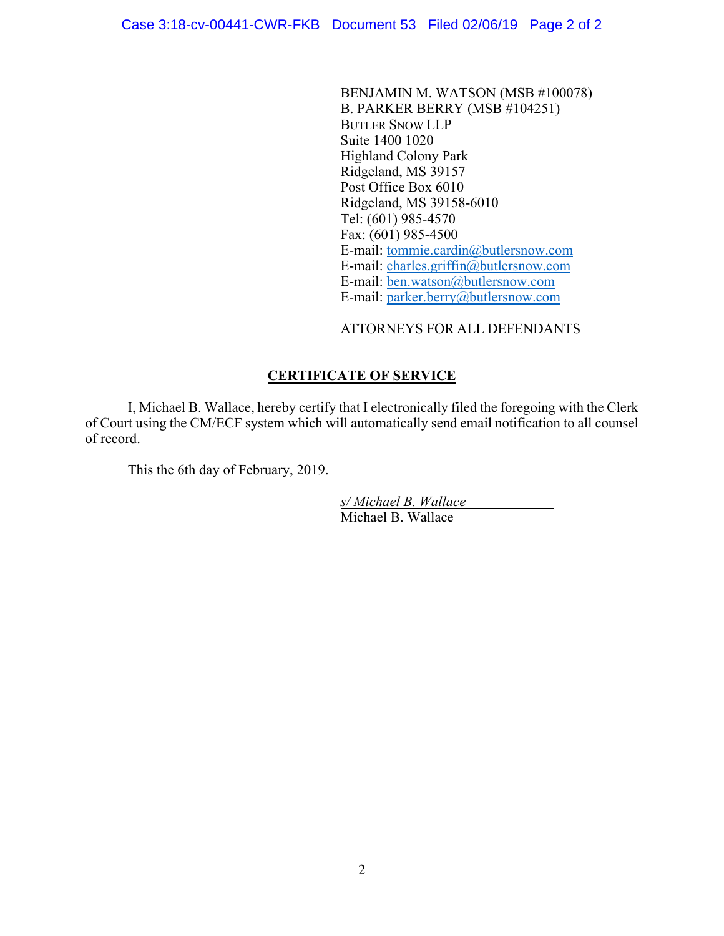BENJAMIN M. WATSON (MSB #100078) B. PARKER BERRY (MSB #104251) BUTLER SNOW LLP Suite 1400 1020 Highland Colony Park Ridgeland, MS 39157 Post Office Box 6010 Ridgeland, MS 39158-6010 Tel: (601) 985-4570 Fax: (601) 985-4500 E-mail: tommie.cardin@butlersnow.com E-mail: charles.griffin@butlersnow.com E-mail: ben.watson@butlersnow.com E-mail: parker.berry@butlersnow.com

ATTORNEYS FOR ALL DEFENDANTS

# **CERTIFICATE OF SERVICE**

I, Michael B. Wallace, hereby certify that I electronically filed the foregoing with the Clerk of Court using the CM/ECF system which will automatically send email notification to all counsel of record.

This the 6th day of February, 2019.

*s/ Michael B. Wallace* Michael B. Wallace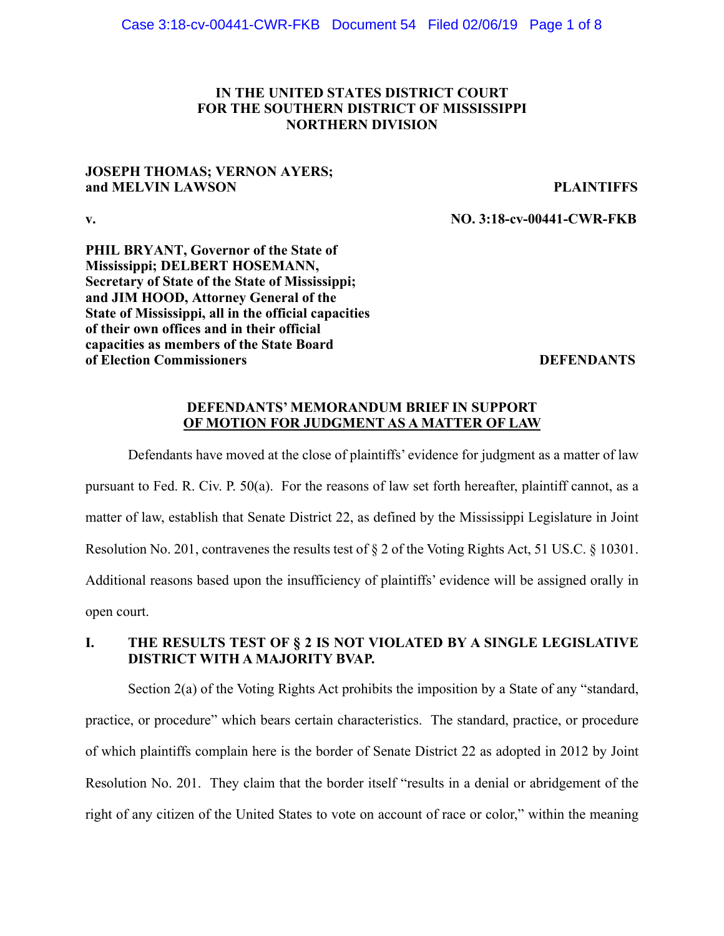# **IN THE UNITED STATES DISTRICT COURT FOR THE SOUTHERN DISTRICT OF MISSISSIPPI NORTHERN DIVISION**

# **JOSEPH THOMAS; VERNON AYERS; and MELVIN LAWSON PLAINTIFFS**

**v. NO. 3:18-cv-00441-CWR-FKB**

**PHIL BRYANT, Governor of the State of Mississippi; DELBERT HOSEMANN, Secretary of State of the State of Mississippi; and JIM HOOD, Attorney General of the State of Mississippi, all in the official capacities of their own offices and in their official capacities as members of the State Board of Election Commissioners DEFENDANTS** 

## **DEFENDANTS' MEMORANDUM BRIEF IN SUPPORT OF MOTION FOR JUDGMENT AS A MATTER OF LAW**

Defendants have moved at the close of plaintiffs' evidence for judgment as a matter of law pursuant to Fed. R. Civ. P. 50(a). For the reasons of law set forth hereafter, plaintiff cannot, as a matter of law, establish that Senate District 22, as defined by the Mississippi Legislature in Joint Resolution No. 201, contravenes the results test of § 2 of the Voting Rights Act, 51 US.C. § 10301. Additional reasons based upon the insufficiency of plaintiffs' evidence will be assigned orally in open court.

# **I. THE RESULTS TEST OF § 2 IS NOT VIOLATED BY A SINGLE LEGISLATIVE DISTRICT WITH A MAJORITY BVAP.**

Section 2(a) of the Voting Rights Act prohibits the imposition by a State of any "standard, practice, or procedure" which bears certain characteristics. The standard, practice, or procedure of which plaintiffs complain here is the border of Senate District 22 as adopted in 2012 by Joint Resolution No. 201. They claim that the border itself "results in a denial or abridgement of the right of any citizen of the United States to vote on account of race or color," within the meaning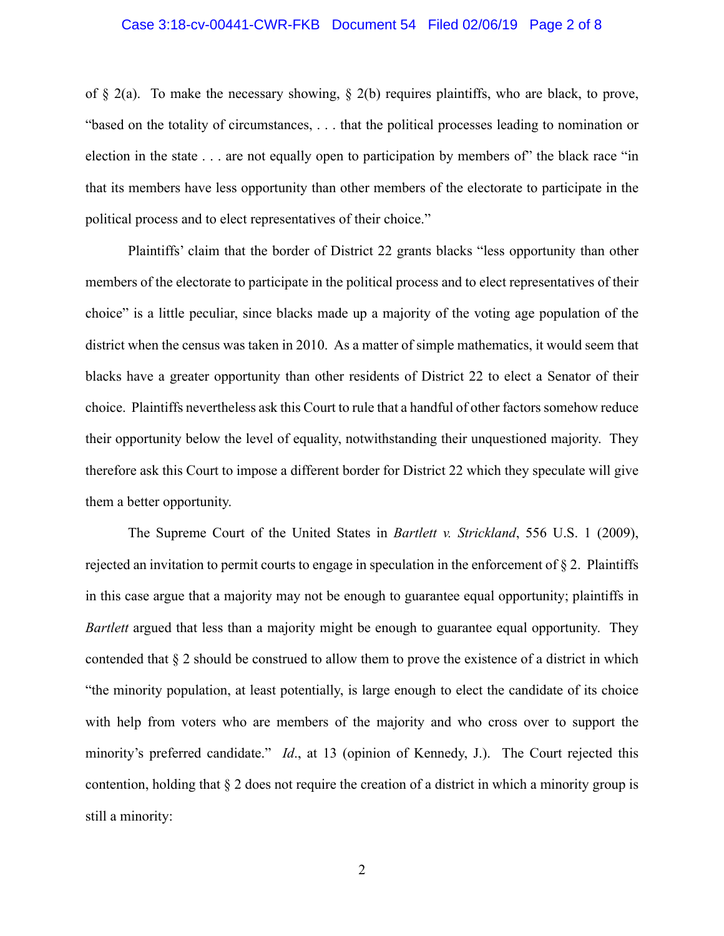### Case 3:18-cv-00441-CWR-FKB Document 54 Filed 02/06/19 Page 2 of 8

of  $\S$  2(a). To make the necessary showing,  $\S$  2(b) requires plaintiffs, who are black, to prove, "based on the totality of circumstances, . . . that the political processes leading to nomination or election in the state . . . are not equally open to participation by members of the black race "in" that its members have less opportunity than other members of the electorate to participate in the political process and to elect representatives of their choice."

Plaintiffs' claim that the border of District 22 grants blacks "less opportunity than other members of the electorate to participate in the political process and to elect representatives of their choice" is a little peculiar, since blacks made up a majority of the voting age population of the district when the census was taken in 2010. As a matter of simple mathematics, it would seem that blacks have a greater opportunity than other residents of District 22 to elect a Senator of their choice. Plaintiffs nevertheless ask this Court to rule that a handful of other factors somehow reduce their opportunity below the level of equality, notwithstanding their unquestioned majority. They therefore ask this Court to impose a different border for District 22 which they speculate will give them a better opportunity.

The Supreme Court of the United States in *Bartlett v. Strickland*, 556 U.S. 1 (2009), rejected an invitation to permit courts to engage in speculation in the enforcement of § 2. Plaintiffs in this case argue that a majority may not be enough to guarantee equal opportunity; plaintiffs in *Bartlett* argued that less than a majority might be enough to guarantee equal opportunity. They contended that § 2 should be construed to allow them to prove the existence of a district in which "the minority population, at least potentially, is large enough to elect the candidate of its choice with help from voters who are members of the majority and who cross over to support the minority's preferred candidate." *Id*., at 13 (opinion of Kennedy, J.). The Court rejected this contention, holding that § 2 does not require the creation of a district in which a minority group is still a minority: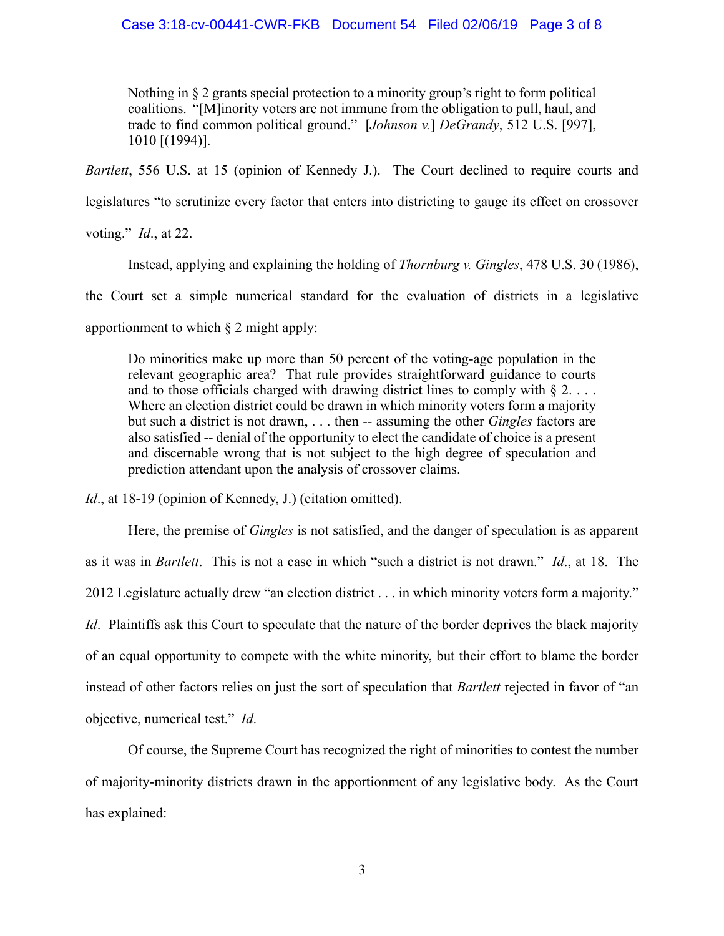### Case 3:18-cv-00441-CWR-FKB Document 54 Filed 02/06/19 Page 3 of 8

Nothing in § 2 grants special protection to a minority group's right to form political coalitions. "[M]inority voters are not immune from the obligation to pull, haul, and trade to find common political ground." [*Johnson v.*] *DeGrandy*, 512 U.S. [997], 1010 [(1994)].

*Bartlett*, 556 U.S. at 15 (opinion of Kennedy J.). The Court declined to require courts and

legislatures "to scrutinize every factor that enters into districting to gauge its effect on crossover

voting." *Id*., at 22.

Instead, applying and explaining the holding of *Thornburg v. Gingles*, 478 U.S. 30 (1986),

the Court set a simple numerical standard for the evaluation of districts in a legislative

apportionment to which § 2 might apply:

Do minorities make up more than 50 percent of the voting-age population in the relevant geographic area? That rule provides straightforward guidance to courts and to those officials charged with drawing district lines to comply with  $\S 2$ .... Where an election district could be drawn in which minority voters form a majority but such a district is not drawn, . . . then -- assuming the other *Gingles* factors are also satisfied -- denial of the opportunity to elect the candidate of choice is a present and discernable wrong that is not subject to the high degree of speculation and prediction attendant upon the analysis of crossover claims.

*Id.*, at 18-19 (opinion of Kennedy, J.) (citation omitted).

Here, the premise of *Gingles* is not satisfied, and the danger of speculation is as apparent as it was in *Bartlett*. This is not a case in which "such a district is not drawn." *Id*., at 18. The 2012 Legislature actually drew "an election district . . . in which minority voters form a majority." *Id.* Plaintiffs ask this Court to speculate that the nature of the border deprives the black majority of an equal opportunity to compete with the white minority, but their effort to blame the border instead of other factors relies on just the sort of speculation that *Bartlett* rejected in favor of "an objective, numerical test." *Id*.

Of course, the Supreme Court has recognized the right of minorities to contest the number of majority-minority districts drawn in the apportionment of any legislative body. As the Court has explained: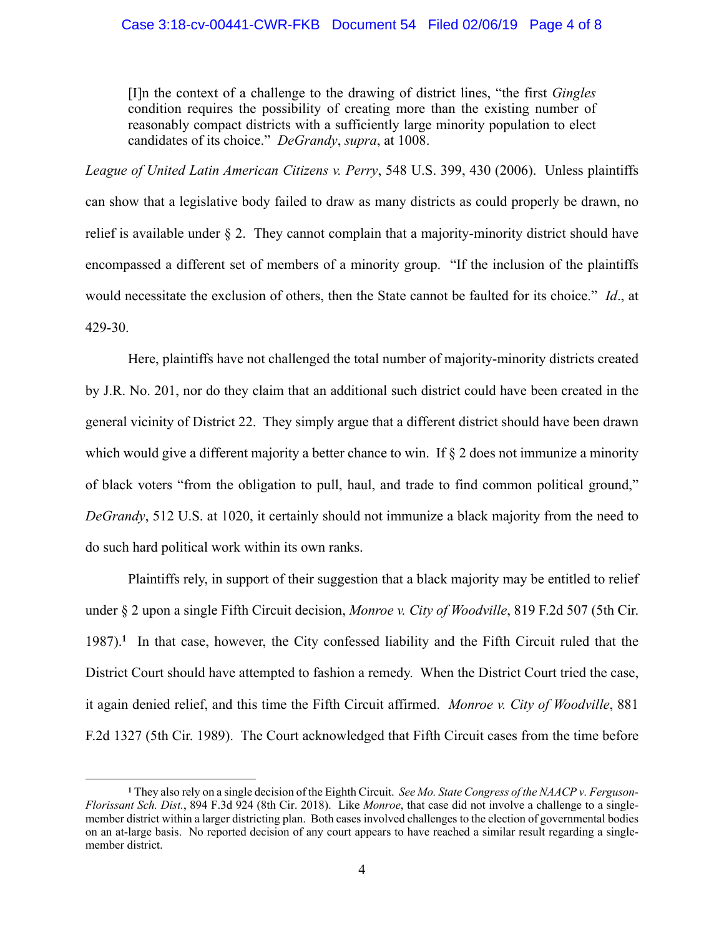### Case 3:18-cv-00441-CWR-FKB Document 54 Filed 02/06/19 Page 4 of 8

[I]n the context of a challenge to the drawing of district lines, "the first *Gingles* condition requires the possibility of creating more than the existing number of reasonably compact districts with a sufficiently large minority population to elect candidates of its choice." *DeGrandy*, *supra*, at 1008.

*League of United Latin American Citizens v. Perry*, 548 U.S. 399, 430 (2006). Unless plaintiffs can show that a legislative body failed to draw as many districts as could properly be drawn, no relief is available under § 2. They cannot complain that a majority-minority district should have encompassed a different set of members of a minority group. "If the inclusion of the plaintiffs would necessitate the exclusion of others, then the State cannot be faulted for its choice." *Id*., at 429-30.

Here, plaintiffs have not challenged the total number of majority-minority districts created by J.R. No. 201, nor do they claim that an additional such district could have been created in the general vicinity of District 22. They simply argue that a different district should have been drawn which would give a different majority a better chance to win. If  $\S 2$  does not immunize a minority of black voters "from the obligation to pull, haul, and trade to find common political ground," *DeGrandy*, 512 U.S. at 1020, it certainly should not immunize a black majority from the need to do such hard political work within its own ranks.

Plaintiffs rely, in support of their suggestion that a black majority may be entitled to relief under § 2 upon a single Fifth Circuit decision, *Monroe v. City of Woodville*, 819 F.2d 507 (5th Cir. 1987).**<sup>1</sup>** In that case, however, the City confessed liability and the Fifth Circuit ruled that the District Court should have attempted to fashion a remedy. When the District Court tried the case, it again denied relief, and this time the Fifth Circuit affirmed. *Monroe v. City of Woodville*, 881 F.2d 1327 (5th Cir. 1989). The Court acknowledged that Fifth Circuit cases from the time before

<u>.</u>

**<sup>1</sup>** They also rely on a single decision of the Eighth Circuit. *See Mo. State Congress of the NAACP v. Ferguson-Florissant Sch. Dist.*, 894 F.3d 924 (8th Cir. 2018). Like *Monroe*, that case did not involve a challenge to a singlemember district within a larger districting plan. Both cases involved challenges to the election of governmental bodies on an at-large basis. No reported decision of any court appears to have reached a similar result regarding a singlemember district.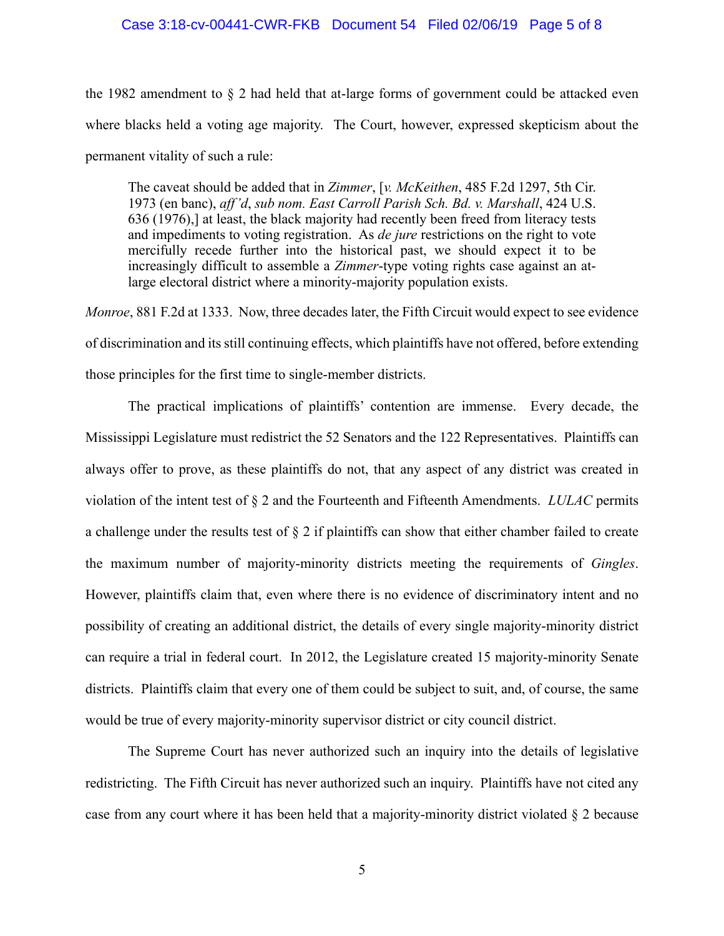#### Case 3:18-cv-00441-CWR-FKB Document 54 Filed 02/06/19 Page 5 of 8

the 1982 amendment to  $\S$  2 had held that at-large forms of government could be attacked even where blacks held a voting age majority. The Court, however, expressed skepticism about the permanent vitality of such a rule:

The caveat should be added that in *Zimmer*, [*v. McKeithen*, 485 F.2d 1297, 5th Cir. 1973 (en banc), *aff'd*, *sub nom. East Carroll Parish Sch. Bd. v. Marshall*, 424 U.S. 636 (1976),] at least, the black majority had recently been freed from literacy tests and impediments to voting registration. As *de jure* restrictions on the right to vote mercifully recede further into the historical past, we should expect it to be increasingly difficult to assemble a *Zimmer*-type voting rights case against an atlarge electoral district where a minority-majority population exists.

*Monroe*, 881 F.2d at 1333. Now, three decades later, the Fifth Circuit would expect to see evidence of discrimination and itsstill continuing effects, which plaintiffs have not offered, before extending those principles for the first time to single-member districts.

The practical implications of plaintiffs' contention are immense. Every decade, the Mississippi Legislature must redistrict the 52 Senators and the 122 Representatives. Plaintiffs can always offer to prove, as these plaintiffs do not, that any aspect of any district was created in violation of the intent test of § 2 and the Fourteenth and Fifteenth Amendments. *LULAC* permits a challenge under the results test of § 2 if plaintiffs can show that either chamber failed to create the maximum number of majority-minority districts meeting the requirements of *Gingles*. However, plaintiffs claim that, even where there is no evidence of discriminatory intent and no possibility of creating an additional district, the details of every single majority-minority district can require a trial in federal court. In 2012, the Legislature created 15 majority-minority Senate districts. Plaintiffs claim that every one of them could be subject to suit, and, of course, the same would be true of every majority-minority supervisor district or city council district.

The Supreme Court has never authorized such an inquiry into the details of legislative redistricting. The Fifth Circuit has never authorized such an inquiry. Plaintiffs have not cited any case from any court where it has been held that a majority-minority district violated § 2 because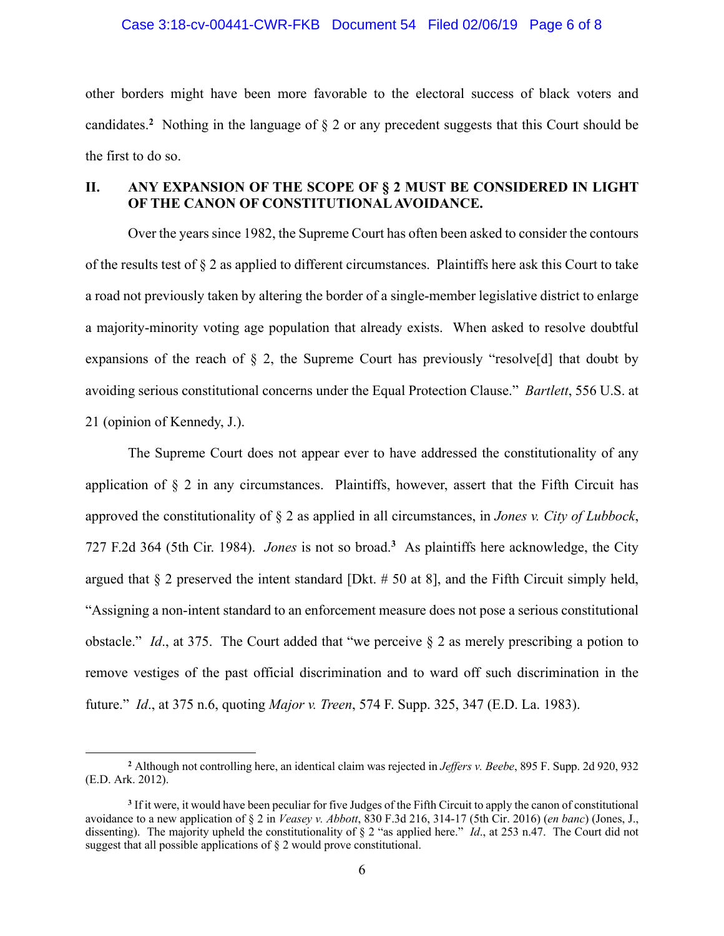#### Case 3:18-cv-00441-CWR-FKB Document 54 Filed 02/06/19 Page 6 of 8

other borders might have been more favorable to the electoral success of black voters and candidates.**<sup>2</sup>** Nothing in the language of § 2 or any precedent suggests that this Court should be the first to do so.

## **II. ANY EXPANSION OF THE SCOPE OF § 2 MUST BE CONSIDERED IN LIGHT OF THE CANON OF CONSTITUTIONAL AVOIDANCE.**

Over the years since 1982, the Supreme Court has often been asked to consider the contours of the results test of § 2 as applied to different circumstances. Plaintiffs here ask this Court to take a road not previously taken by altering the border of a single-member legislative district to enlarge a majority-minority voting age population that already exists. When asked to resolve doubtful expansions of the reach of  $\S$  2, the Supreme Court has previously "resolve [d] that doubt by avoiding serious constitutional concerns under the Equal Protection Clause." *Bartlett*, 556 U.S. at 21 (opinion of Kennedy, J.).

The Supreme Court does not appear ever to have addressed the constitutionality of any application of § 2 in any circumstances. Plaintiffs, however, assert that the Fifth Circuit has approved the constitutionality of § 2 as applied in all circumstances, in *Jones v. City of Lubbock*, 727 F.2d 364 (5th Cir. 1984). *Jones* is not so broad.**<sup>3</sup>** As plaintiffs here acknowledge, the City argued that  $\S$  2 preserved the intent standard [Dkt.  $\#$  50 at 8], and the Fifth Circuit simply held, "Assigning a non-intent standard to an enforcement measure does not pose a serious constitutional obstacle." *Id*., at 375. The Court added that "we perceive § 2 as merely prescribing a potion to remove vestiges of the past official discrimination and to ward off such discrimination in the future." *Id*., at 375 n.6, quoting *Major v. Treen*, 574 F. Supp. 325, 347 (E.D. La. 1983).

<u>.</u>

**<sup>2</sup>** Although not controlling here, an identical claim was rejected in *Jeffers v. Beebe*, 895 F. Supp. 2d 920, 932 (E.D. Ark. 2012).

**<sup>3</sup>** If it were, it would have been peculiar for five Judges of the Fifth Circuit to apply the canon of constitutional avoidance to a new application of § 2 in *Veasey v. Abbott*, 830 F.3d 216, 314-17 (5th Cir. 2016) (*en banc*) (Jones, J., dissenting). The majority upheld the constitutionality of § 2 "as applied here." *Id*., at 253 n.47. The Court did not suggest that all possible applications of § 2 would prove constitutional.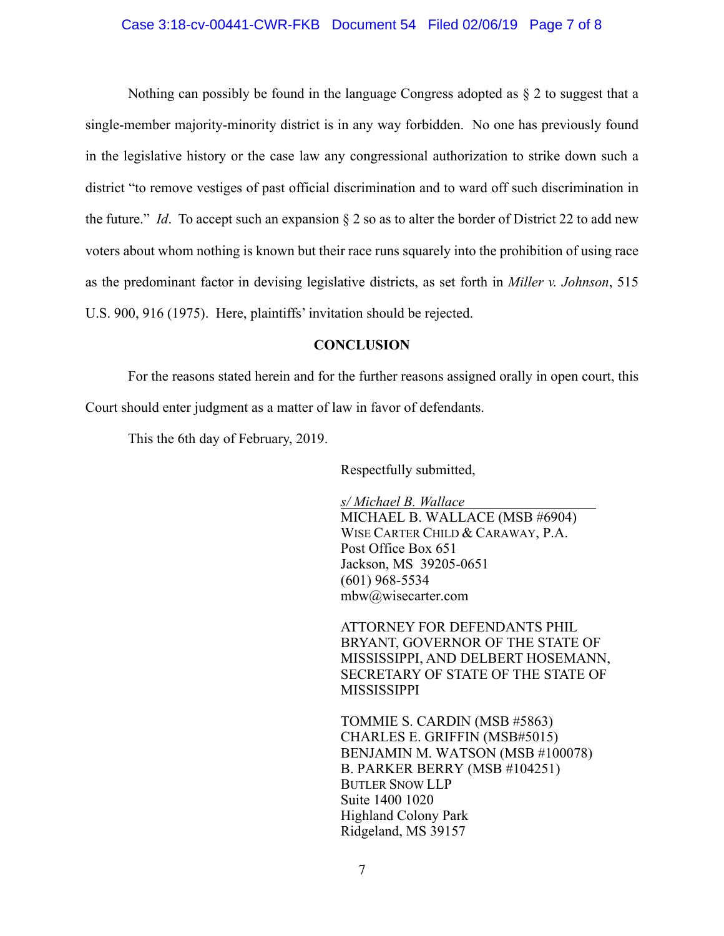### Case 3:18-cv-00441-CWR-FKB Document 54 Filed 02/06/19 Page 7 of 8

Nothing can possibly be found in the language Congress adopted as  $\S 2$  to suggest that a single-member majority-minority district is in any way forbidden. No one has previously found in the legislative history or the case law any congressional authorization to strike down such a district "to remove vestiges of past official discrimination and to ward off such discrimination in the future." *Id*. To accept such an expansion § 2 so as to alter the border of District 22 to add new voters about whom nothing is known but their race runs squarely into the prohibition of using race as the predominant factor in devising legislative districts, as set forth in *Miller v. Johnson*, 515 U.S. 900, 916 (1975). Here, plaintiffs' invitation should be rejected.

# **CONCLUSION**

For the reasons stated herein and for the further reasons assigned orally in open court, this Court should enter judgment as a matter of law in favor of defendants.

This the 6th day of February, 2019.

Respectfully submitted,

*s/ Michael B. Wallace* MICHAEL B. WALLACE (MSB #6904) WISE CARTER CHILD & CARAWAY, P.A. Post Office Box 651 Jackson, MS 39205-0651 (601) 968-5534 mbw@wisecarter.com

ATTORNEY FOR DEFENDANTS PHIL BRYANT, GOVERNOR OF THE STATE OF MISSISSIPPI, AND DELBERT HOSEMANN, SECRETARY OF STATE OF THE STATE OF MISSISSIPPI

TOMMIE S. CARDIN (MSB #5863) CHARLES E. GRIFFIN (MSB#5015) BENJAMIN M. WATSON (MSB #100078) B. PARKER BERRY (MSB #104251) BUTLER SNOW LLP Suite 1400 1020 Highland Colony Park Ridgeland, MS 39157